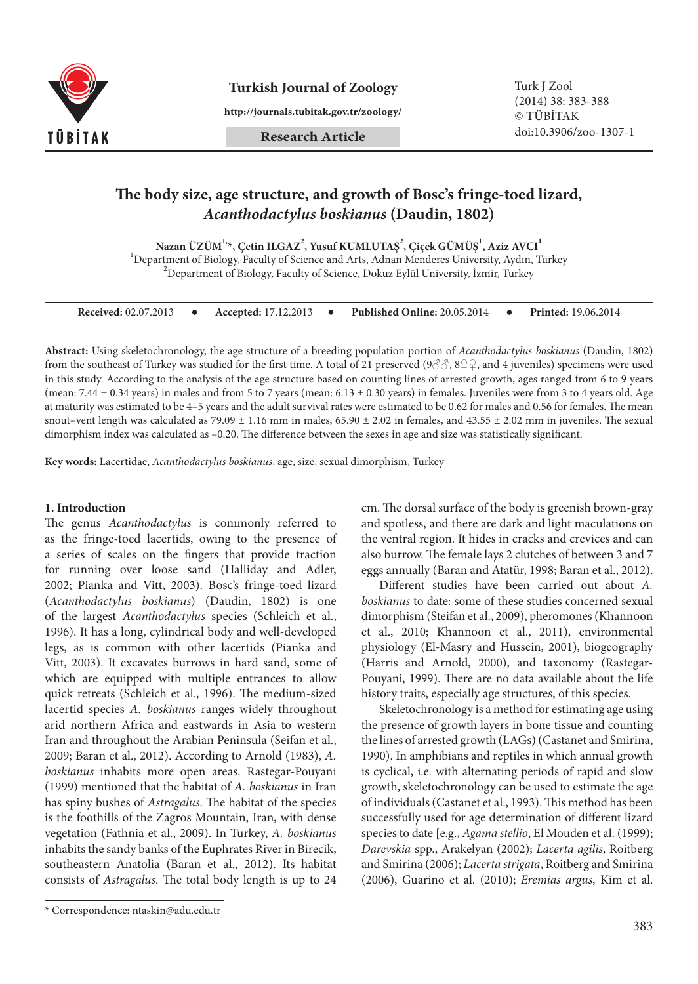

**Turkish Journal of Zoology** Turk J Zool

**http://journals.tubitak.gov.tr/zoology/**

# **Research Article**

# **The body size, age structure, and growth of Bosc's fringe-toed lizard,** *Acanthodactylus boskianus* **(Daudin, 1802)**

 $N$ azan ÜZÜM $^{1,\star}$ , Çetin ILGAZ $^{2}$ , Yusuf KUMLUTAŞ $^{2}$ , Çiçek GÜMÜŞ $^{1}$ , Aziz AVCI $^{1}$ 

<sup>1</sup> Department of Biology, Faculty of Science and Arts, Adnan Menderes University, Aydın, Turkey  $^2$ Department of Biology, Faculty of Science, Dokuz Eylül University, İzmir, Turkey

| <b>Received:</b> 02.07.2013 |  | <b>Accepted:</b> 17.12.2013 |  | <b>Published Online: 20.05.2014</b> |  | <b>Printed:</b> 19.06.2014 |
|-----------------------------|--|-----------------------------|--|-------------------------------------|--|----------------------------|
|-----------------------------|--|-----------------------------|--|-------------------------------------|--|----------------------------|

**Abstract:** Using skeletochronology, the age structure of a breeding population portion of *Acanthodactylus boskianus* (Daudin, 1802) from the southeast of Turkey was studied for the first time. A total of 21 preserved ( $9\textdegree$ ),  $8\textdegree$ , and 4 juveniles) specimens were used in this study. According to the analysis of the age structure based on counting lines of arrested growth, ages ranged from 6 to 9 years (mean:  $7.44 \pm 0.34$  years) in males and from 5 to 7 years (mean:  $6.13 \pm 0.30$  years) in females. Juveniles were from 3 to 4 years old. Age at maturity was estimated to be 4–5 years and the adult survival rates were estimated to be 0.62 for males and 0.56 for females. The mean snout–vent length was calculated as  $79.09 \pm 1.16$  mm in males,  $65.90 \pm 2.02$  in females, and  $43.55 \pm 2.02$  mm in juveniles. The sexual dimorphism index was calculated as –0.20. The difference between the sexes in age and size was statistically significant.

**Key words:** Lacertidae, *Acanthodactylus boskianus*, age, size, sexual dimorphism, Turkey

## **1. Introduction**

The genus *Acanthodactylus* is commonly referred to as the fringe-toed lacertids, owing to the presence of a series of scales on the fingers that provide traction for running over loose sand (Halliday and Adler, 2002; Pianka and Vitt, 2003). Bosc's fringe-toed lizard (*Acanthodactylus boskianus*) (Daudin, 1802) is one of the largest *Acanthodactylus* species (Schleich et al., 1996). It has a long, cylindrical body and well-developed legs, as is common with other lacertids (Pianka and Vitt, 2003). It excavates burrows in hard sand, some of which are equipped with multiple entrances to allow quick retreats (Schleich et al., 1996). The medium-sized lacertid species *A. boskianus* ranges widely throughout arid northern Africa and eastwards in Asia to western Iran and throughout the Arabian Peninsula (Seifan et al., 2009; Baran et al., 2012). According to Arnold (1983), *A. boskianus* inhabits more open areas. Rastegar-Pouyani (1999) mentioned that the habitat of *A. boskianus* in Iran has spiny bushes of *Astragalus*. The habitat of the species is the foothills of the Zagros Mountain, Iran, with dense vegetation (Fathnia et al., 2009). In Turkey, *A. boskianus* inhabits the sandy banks of the Euphrates River in Birecik, southeastern Anatolia (Baran et al., 2012). Its habitat consists of *Astragalus*. The total body length is up to 24

cm. The dorsal surface of the body is greenish brown-gray and spotless, and there are dark and light maculations on the ventral region. It hides in cracks and crevices and can also burrow. The female lays 2 clutches of between 3 and 7 eggs annually (Baran and Atatür, 1998; Baran et al., 2012).

Different studies have been carried out about *A. boskianus* to date: some of these studies concerned sexual dimorphism (Steifan et al., 2009), pheromones (Khannoon et al., 2010; Khannoon et al., 2011), environmental physiology (El-Masry and Hussein, 2001), biogeography (Harris and Arnold, 2000), and taxonomy (Rastegar-Pouyani, 1999). There are no data available about the life history traits, especially age structures, of this species.

Skeletochronology is a method for estimating age using the presence of growth layers in bone tissue and counting the lines of arrested growth (LAGs) (Castanet and Smirina, 1990). In amphibians and reptiles in which annual growth is cyclical, i.e. with alternating periods of rapid and slow growth, skeletochronology can be used to estimate the age of individuals (Castanet et al., 1993). This method has been successfully used for age determination of different lizard species to date [e.g., *Agama stellio*, El Mouden et al. (1999); *Darevskia* spp., Arakelyan (2002); *Lacerta agilis*, Roitberg and Smirina (2006); *Lacerta strigata*, Roitberg and Smirina (2006), Guarino et al. (2010); *Eremias argus*, Kim et al.

<sup>\*</sup> Correspondence: ntaskin@adu.edu.tr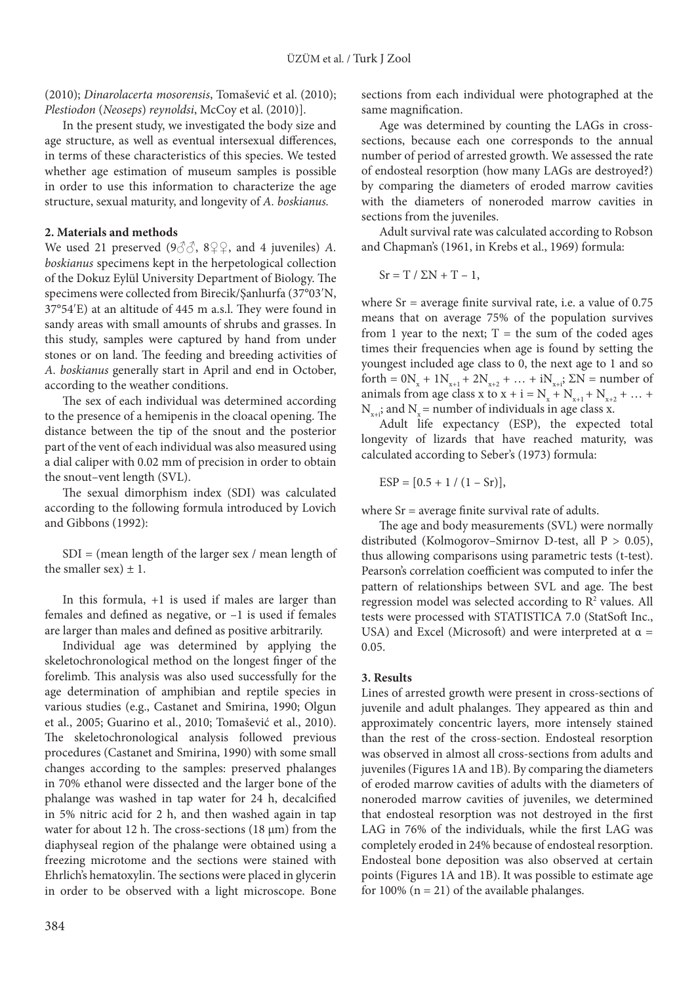(2010); *Dinarolacerta mosorensis*, Tomašević et al. (2010); *Plestiodon* (*Neoseps*) *reynoldsi*, McCoy et al. (2010)].

In the present study, we investigated the body size and age structure, as well as eventual intersexual differences, in terms of these characteristics of this species. We tested whether age estimation of museum samples is possible in order to use this information to characterize the age structure, sexual maturity, and longevity of *A. boskianus.* 

#### **2. Materials and methods**

We used 21 preserved  $(9\text{AA}, 8\text{AA})$ , and 4 juveniles) *A*. *boskianus* specimens kept in the herpetological collection of the Dokuz Eylül University Department of Biology. The specimens were collected from Birecik/Şanlıurfa (37°03′N, 37°54′E) at an altitude of 445 m a.s.l. They were found in sandy areas with small amounts of shrubs and grasses. In this study, samples were captured by hand from under stones or on land. The feeding and breeding activities of *A. boskianus* generally start in April and end in October, according to the weather conditions.

The sex of each individual was determined according to the presence of a hemipenis in the cloacal opening. The distance between the tip of the snout and the posterior part of the vent of each individual was also measured using a dial caliper with 0.02 mm of precision in order to obtain the snout–vent length (SVL).

The sexual dimorphism index (SDI) was calculated according to the following formula introduced by Lovich and Gibbons (1992):

SDI = (mean length of the larger sex / mean length of the smaller sex)  $\pm$  1.

In this formula, +1 is used if males are larger than females and defined as negative, or –1 is used if females are larger than males and defined as positive arbitrarily.

Individual age was determined by applying the skeletochronological method on the longest finger of the forelimb. This analysis was also used successfully for the age determination of amphibian and reptile species in various studies (e.g., Castanet and Smirina, 1990; Olgun et al., 2005; Guarino et al., 2010; Tomašević et al., 2010). The skeletochronological analysis followed previous procedures (Castanet and Smirina, 1990) with some small changes according to the samples: preserved phalanges in 70% ethanol were dissected and the larger bone of the phalange was washed in tap water for 24 h, decalcified in 5% nitric acid for 2 h, and then washed again in tap water for about 12 h. The cross-sections  $(18 \mu m)$  from the diaphyseal region of the phalange were obtained using a freezing microtome and the sections were stained with Ehrlich's hematoxylin. The sections were placed in glycerin in order to be observed with a light microscope. Bone sections from each individual were photographed at the same magnification.

Age was determined by counting the LAGs in crosssections, because each one corresponds to the annual number of period of arrested growth. We assessed the rate of endosteal resorption (how many LAGs are destroyed?) by comparing the diameters of eroded marrow cavities with the diameters of noneroded marrow cavities in sections from the juveniles.

Adult survival rate was calculated according to Robson and Chapman's (1961, in Krebs et al., 1969) formula:

$$
Sr = T / \Sigma N + T - 1,
$$

where  $Sr = average$  finite survival rate, i.e. a value of  $0.75$ means that on average 75% of the population survives from 1 year to the next;  $T =$  the sum of the coded ages times their frequencies when age is found by setting the youngest included age class to 0, the next age to 1 and so forth =  $0N_x + 1N_{x+1} + 2N_{x+2} + ... + iN_{x+i}$ ;  $\Sigma N$  = number of animals from age class x to  $x + i = N_x + N_{x+1} + N_{x+2} + ...$  $N_{x,i}$ ; and  $N_{y}$  = number of individuals in age class x.

Adult life expectancy (ESP), the expected total longevity of lizards that have reached maturity, was calculated according to Seber's (1973) formula:

 $ESP = [0.5 + 1 / (1 - Sr)],$ 

where  $Sr = average$  finite survival rate of adults.

The age and body measurements (SVL) were normally distributed (Kolmogorov–Smirnov D*-*test, all P > 0.05), thus allowing comparisons using parametric tests (t*-*test). Pearson's correlation coefficient was computed to infer the pattern of relationships between SVL and age. The best regression model was selected according to  $\mathbb{R}^2$  values. All tests were processed with STATISTICA 7.0 (StatSoft Inc., USA) and Excel (Microsoft) and were interpreted at  $\alpha$  = 0.05.

## **3. Results**

Lines of arrested growth were present in cross-sections of juvenile and adult phalanges. They appeared as thin and approximately concentric layers, more intensely stained than the rest of the cross-section. Endosteal resorption was observed in almost all cross-sections from adults and juveniles (Figures 1A and 1B). By comparing the diameters of eroded marrow cavities of adults with the diameters of noneroded marrow cavities of juveniles, we determined that endosteal resorption was not destroyed in the first LAG in 76% of the individuals, while the first LAG was completely eroded in 24% because of endosteal resorption. Endosteal bone deposition was also observed at certain points (Figures 1A and 1B). It was possible to estimate age for 100% ( $n = 21$ ) of the available phalanges.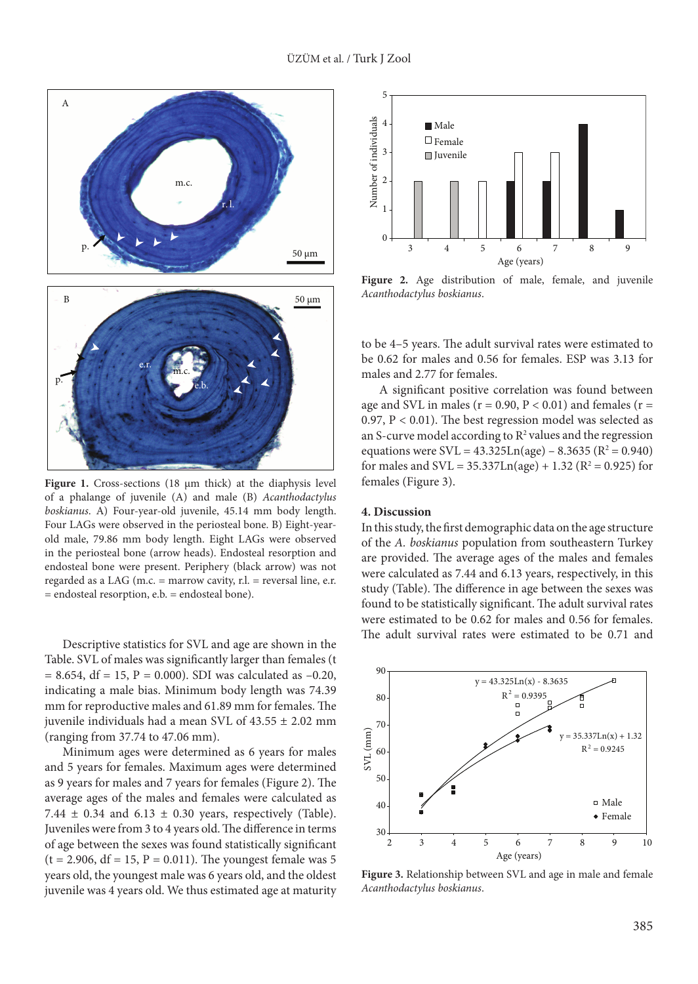

Figure 1. Cross-sections (18  $\mu$ m thick) at the diaphysis level of a phalange of juvenile (A) and male (B) *Acanthodactylus boskianus*. A) Four-year-old juvenile, 45.14 mm body length. Four LAGs were observed in the periosteal bone. B) Eight-yearold male, 79.86 mm body length. Eight LAGs were observed in the periosteal bone (arrow heads). Endosteal resorption and endosteal bone were present. Periphery (black arrow) was not regarded as a LAG (m.c.  $=$  marrow cavity, r.l.  $=$  reversal line, e.r. = endosteal resorption, e.b. = endosteal bone).

Descriptive statistics for SVL and age are shown in the Table. SVL of males was significantly larger than females (t  $= 8.654$ , df  $= 15$ ,  $P = 0.000$ ). SDI was calculated as  $-0.20$ , indicating a male bias. Minimum body length was 74.39 mm for reproductive males and 61.89 mm for females. The juvenile individuals had a mean SVL of  $43.55 \pm 2.02$  mm (ranging from 37.74 to 47.06 mm).

Minimum ages were determined as 6 years for males and 5 years for females. Maximum ages were determined as 9 years for males and 7 years for females (Figure 2). The average ages of the males and females were calculated as 7.44  $\pm$  0.34 and 6.13  $\pm$  0.30 years, respectively (Table). Juveniles were from 3 to 4 years old. The difference in terms of age between the sexes was found statistically significant  $(t = 2.906, df = 15, P = 0.011)$ . The youngest female was 5 years old, the youngest male was 6 years old, and the oldest juvenile was 4 years old. We thus estimated age at maturity



Figure 2. Age distribution of male, female, and juvenile *Acanthodactylus boskianus*.

to be 4–5 years. The adult survival rates were estimated to be 0.62 for males and 0.56 for females. ESP was 3.13 for males and 2.77 for females.

A significant positive correlation was found between age and SVL in males ( $r = 0.90$ ,  $P < 0.01$ ) and females ( $r =$ 0.97, P < 0.01). The best regression model was selected as an S-curve model according to  $\mathbb{R}^2$  values and the regression equations were  $SVL = 43.325Ln(age) - 8.3635 (R<sup>2</sup> = 0.940)$ for males and  $SVL = 35.337Ln(age) + 1.32 (R<sup>2</sup> = 0.925)$  for females (Figure 3).

#### **4. Discussion**

In this study, the first demographic data on the age structure of the *A. boskianus* population from southeastern Turkey are provided. The average ages of the males and females were calculated as 7.44 and 6.13 years, respectively, in this study (Table). The difference in age between the sexes was found to be statistically significant. The adult survival rates were estimated to be 0.62 for males and 0.56 for females. The adult survival rates were estimated to be 0.71 and



**Figure 3.** Relationship between SVL and age in male and female *Acanthodactylus boskianus*.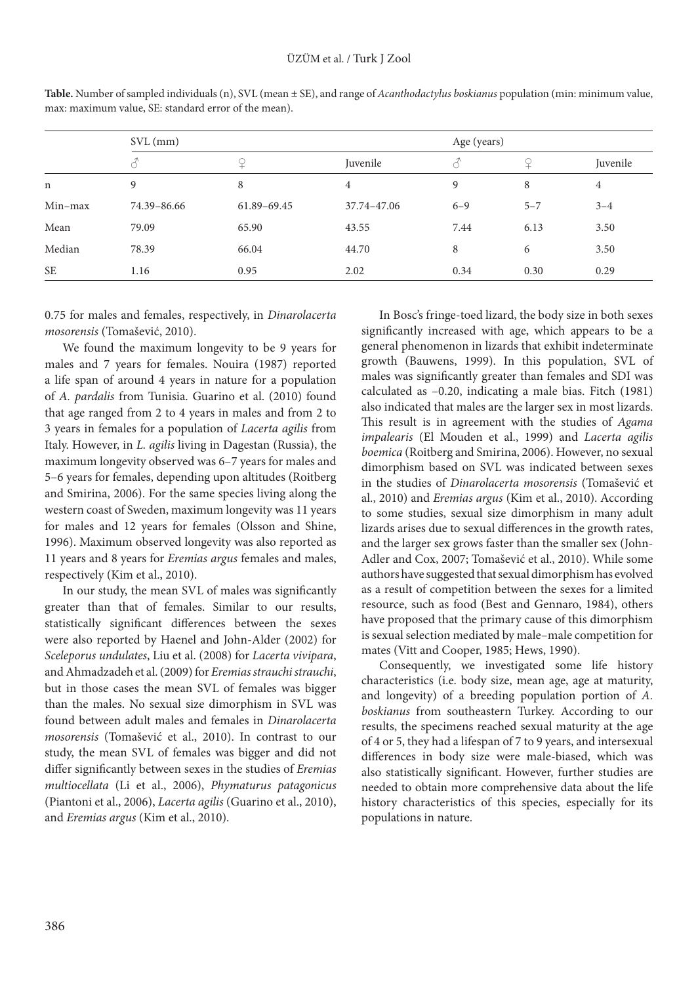|             | $SVL$ (mm)  | Age (years) |             |         |         |          |
|-------------|-------------|-------------|-------------|---------|---------|----------|
|             |             |             | Juvenile    |         |         | Juvenile |
| $\mathbf n$ | 9           | 8           | 4           | 9       | 8       | 4        |
| $Min-max$   | 74.39-86.66 | 61.89-69.45 | 37.74-47.06 | $6 - 9$ | $5 - 7$ | $3 - 4$  |
| Mean        | 79.09       | 65.90       | 43.55       | 7.44    | 6.13    | 3.50     |
| Median      | 78.39       | 66.04       | 44.70       | 8       | 6       | 3.50     |
| <b>SE</b>   | 1.16        | 0.95        | 2.02        | 0.34    | 0.30    | 0.29     |

**Table.** Number of sampled individuals (n), SVL (mean ± SE), and range of *Acanthodactylus boskianus* population (min: minimum value, max: maximum value, SE: standard error of the mean).

0.75 for males and females, respectively, in *Dinarolacerta mosorensis* (Tomašević, 2010).

We found the maximum longevity to be 9 years for males and 7 years for females. Nouira (1987) reported a life span of around 4 years in nature for a population of *A. pardalis* from Tunisia. Guarino et al. (2010) found that age ranged from 2 to 4 years in males and from 2 to 3 years in females for a population of *Lacerta agilis* from Italy. However, in *L. agilis* living in Dagestan (Russia), the maximum longevity observed was 6–7 years for males and 5–6 years for females, depending upon altitudes (Roitberg and Smirina, 2006). For the same species living along the western coast of Sweden, maximum longevity was 11 years for males and 12 years for females (Olsson and Shine, 1996). Maximum observed longevity was also reported as 11 years and 8 years for *Eremias argus* females and males, respectively (Kim et al., 2010).

In our study, the mean SVL of males was significantly greater than that of females. Similar to our results, statistically significant differences between the sexes were also reported by Haenel and John-Alder (2002) for *Sceleporus undulates*, Liu et al. (2008) for *Lacerta vivipara*, and Ahmadzadeh et al. (2009) for *Eremias strauchi strauchi*, but in those cases the mean SVL of females was bigger than the males. No sexual size dimorphism in SVL was found between adult males and females in *Dinarolacerta mosorensis* (Tomašević et al., 2010). In contrast to our study, the mean SVL of females was bigger and did not differ significantly between sexes in the studies of *Eremias multiocellata* (Li et al., 2006), *Phymaturus patagonicus* (Piantoni et al., 2006), *Lacerta agilis* (Guarino et al., 2010), and *Eremias argus* (Kim et al., 2010).

In Bosc's fringe-toed lizard, the body size in both sexes significantly increased with age, which appears to be a general phenomenon in lizards that exhibit indeterminate growth (Bauwens, 1999). In this population, SVL of males was significantly greater than females and SDI was calculated as –0.20, indicating a male bias. Fitch (1981) also indicated that males are the larger sex in most lizards. This result is in agreement with the studies of *Agama impalearis* (El Mouden et al., 1999) and *Lacerta agilis boemica* (Roitberg and Smirina, 2006). However, no sexual dimorphism based on SVL was indicated between sexes in the studies of *Dinarolacerta mosorensis* (Tomašević et al., 2010) and *Eremias argus* (Kim et al., 2010). According to some studies, sexual size dimorphism in many adult lizards arises due to sexual differences in the growth rates, and the larger sex grows faster than the smaller sex (John-Adler and Cox, 2007; Tomašević et al., 2010). While some authors have suggested that sexual dimorphism has evolved as a result of competition between the sexes for a limited resource, such as food (Best and Gennaro, 1984), others have proposed that the primary cause of this dimorphism is sexual selection mediated by male–male competition for mates (Vitt and Cooper, 1985; Hews, 1990).

Consequently, we investigated some life history characteristics (i.e. body size, mean age, age at maturity, and longevity) of a breeding population portion of *A. boskianus* from southeastern Turkey. According to our results, the specimens reached sexual maturity at the age of 4 or 5, they had a lifespan of 7 to 9 years, and intersexual differences in body size were male-biased, which was also statistically significant. However, further studies are needed to obtain more comprehensive data about the life history characteristics of this species, especially for its populations in nature.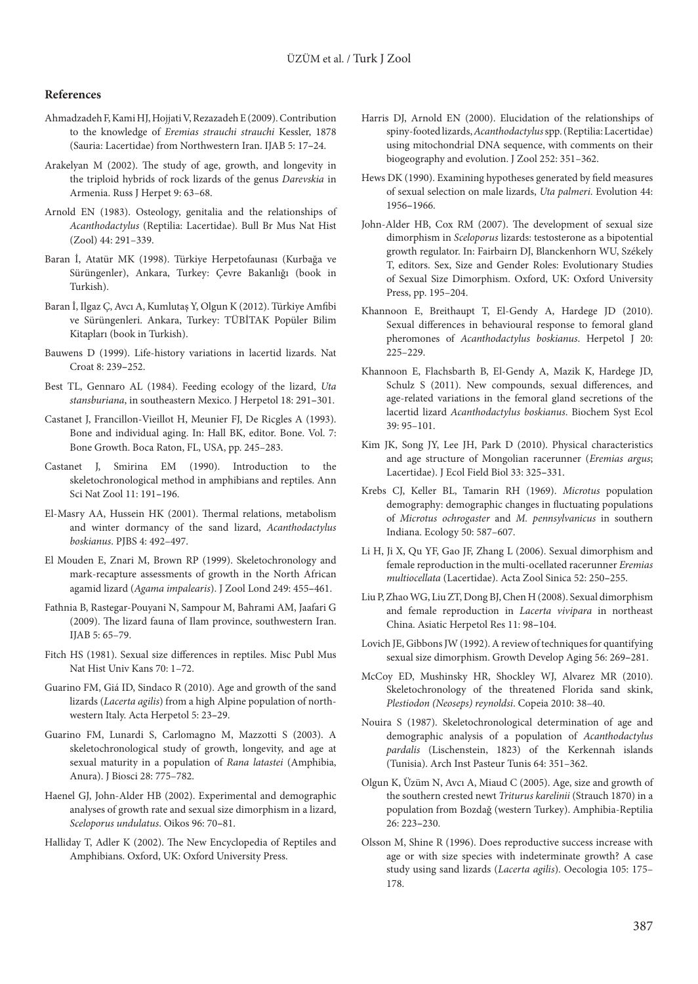#### **References**

- Ahmadzadeh F, Kami HJ, Hojjati V, Rezazadeh E (2009). Contribution to the knowledge of *Eremias strauchi strauchi* Kessler, 1878 (Sauria: Lacertidae) from Northwestern Iran. IJAB 5: 17**–**24.
- Arakelyan M (2002). The study of age, growth, and longevity in the triploid hybrids of rock lizards of the genus *Darevskia* in Armenia. Russ J Herpet 9: 63–68.
- Arnold EN (1983). Osteology, genitalia and the relationships of *Acanthodactylus* (Reptilia: Lacertidae). Bull Br Mus Nat Hist (Zool) 44: 291–339.
- Baran İ, Atatür MK (1998). Türkiye Herpetofaunası (Kurbağa ve Sürüngenler), Ankara, Turkey: Çevre Bakanlığı (book in Turkish).
- Baran İ, Ilgaz Ç, Avcı A, Kumlutaş Y, Olgun K (2012). Türkiye Amfibi ve Sürüngenleri. Ankara, Turkey: TÜBİTAK Popüler Bilim Kitapları (book in Turkish).
- Bauwens D (1999). Life-history variations in lacertid lizards. Nat Croat 8: 239**–**252.
- Best TL, Gennaro AL (1984). Feeding ecology of the lizard, *Uta stansburiana*, in southeastern Mexico. J Herpetol 18: 291**–**301.
- Castanet J, Francillon-Vieillot H, Meunier FJ, De Ricgles A (1993). Bone and individual aging. In: Hall BK, editor. Bone. Vol. 7: Bone Growth. Boca Raton, FL, USA, pp. 245–283.
- Castanet J, Smirina EM (1990). Introduction to the skeletochronological method in amphibians and reptiles. Ann Sci Nat Zool 11: 191**–**196.
- El-Masry AA, Hussein HK (2001). Thermal relations, metabolism and winter dormancy of the sand lizard, *Acanthodactylus boskianus*. PJBS 4: 492–497.
- El Mouden E, Znari M, Brown RP (1999). Skeletochronology and mark-recapture assessments of growth in the North African agamid lizard (*Agama impalearis*). J Zool Lond 249: 455**–**461.
- Fathnia B, Rastegar-Pouyani N, Sampour M, Bahrami AM, Jaafari G (2009). The lizard fauna of Ilam province, southwestern Iran. IJAB 5: 65–79.
- Fitch HS (1981). Sexual size differences in reptiles. Misc Publ Mus Nat Hist Univ Kans 70: 1–72.
- Guarino FM, Giá ID, Sindaco R (2010). Age and growth of the sand lizards (*Lacerta agilis*) from a high Alpine population of northwestern Italy. Acta Herpetol 5: 23**–**29.
- Guarino FM, Lunardi S, Carlomagno M, Mazzotti S (2003). A skeletochronological study of growth, longevity, and age at sexual maturity in a population of *Rana latastei* (Amphibia, Anura). J Biosci 28: 775–782.
- Haenel GJ, John-Alder HB (2002). Experimental and demographic analyses of growth rate and sexual size dimorphism in a lizard, *Sceloporus undulatus*. Oikos 96: 70**–**81.
- Halliday T, Adler K (2002). The New Encyclopedia of Reptiles and Amphibians. Oxford, UK: Oxford University Press.
- Harris DJ, Arnold EN (2000). Elucidation of the relationships of spiny-footed lizards, *Acanthodactylus* spp. (Reptilia: Lacertidae) using mitochondrial DNA sequence, with comments on their biogeography and evolution. J Zool 252: 351–362.
- Hews DK (1990). Examining hypotheses generated by field measures of sexual selection on male lizards, *Uta palmeri*. Evolution 44: 1956**–**1966.
- John-Alder HB, Cox RM (2007). The development of sexual size dimorphism in *Sceloporus* lizards: testosterone as a bipotential growth regulator. In: Fairbairn DJ, Blanckenhorn WU, Székely T, editors. Sex, Size and Gender Roles: Evolutionary Studies of Sexual Size Dimorphism. Oxford, UK: Oxford University Press, pp. 195–204.
- Khannoon E, Breithaupt T, El-Gendy A, Hardege JD (2010). Sexual differences in behavioural response to femoral gland pheromones of *Acanthodactylus boskianus*. Herpetol J 20: 225–229.
- Khannoon E, Flachsbarth B, El-Gendy A, Mazik K, Hardege JD, Schulz S (2011). New compounds, sexual differences, and age-related variations in the femoral gland secretions of the lacertid lizard *Acanthodactylus boskianus*. Biochem Syst Ecol 39: 95–101.
- Kim JK, Song JY, Lee JH, Park D (2010). Physical characteristics and age structure of Mongolian racerunner (*Eremias argus*; Lacertidae). J Ecol Field Biol 33: 325**–**331.
- Krebs CJ, Keller BL, Tamarin RH (1969). *Microtus* population demography: demographic changes in fluctuating populations of *Microtus ochrogaster* and *M. pennsylvanicus* in southern Indiana. Ecology 50: 587–607.
- Li H, Ji X, Qu YF, Gao JF, Zhang L (2006). Sexual dimorphism and female reproduction in the multi-ocellated racerunner *Eremias multiocellata* (Lacertidae). Acta Zool Sinica 52: 250**–**255.
- Liu P, Zhao WG, Liu ZT, Dong BJ, Chen H (2008). Sexual dimorphism and female reproduction in *Lacerta vivipara* in northeast China. Asiatic Herpetol Res 11: 98**–**104.
- Lovich JE, Gibbons JW (1992). A review of techniques for quantifying sexual size dimorphism. Growth Develop Aging 56: 269**–**281.
- McCoy ED, Mushinsky HR, Shockley WJ, Alvarez MR (2010). Skeletochronology of the threatened Florida sand skink, *Plestiodon (Neoseps) reynoldsi*. Copeia 2010: 38–40.
- Nouira S (1987). Skeletochronological determination of age and demographic analysis of a population of *Acanthodactylus pardalis* (Lischenstein, 1823) of the Kerkennah islands (Tunisia). Arch Inst Pasteur Tunis 64: 351–362.
- Olgun K, Üzüm N, Avcı A, Miaud C (2005). Age, size and growth of the southern crested newt *Triturus karelinii* (Strauch 1870) in a population from Bozdağ (western Turkey). Amphibia-Reptilia 26: 223**–**230.
- Olsson M, Shine R (1996). Does reproductive success increase with age or with size species with indeterminate growth? A case study using sand lizards (*Lacerta agilis*). Oecologia 105: 175– 178.